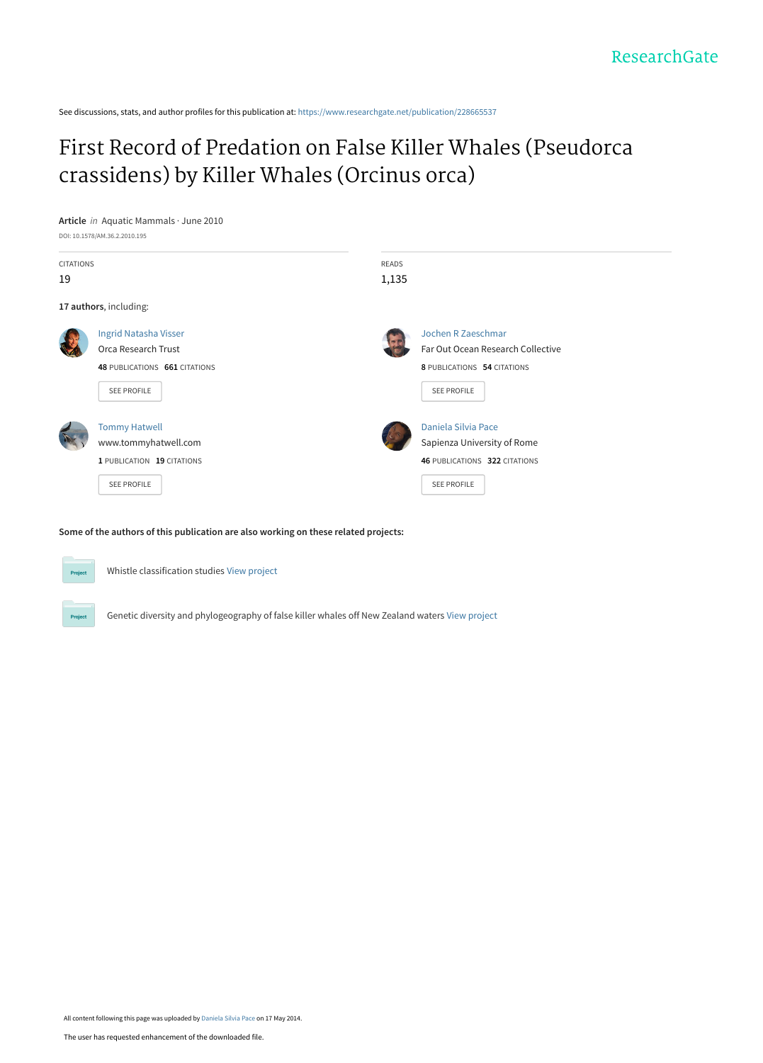See discussions, stats, and author profiles for this publication at: [https://www.researchgate.net/publication/228665537](https://www.researchgate.net/publication/228665537_First_Record_of_Predation_on_False_Killer_Whales_Pseudorca_crassidens_by_Killer_Whales_Orcinus_orca?enrichId=rgreq-0c46772a278c2bffd83f587622759d97-XXX&enrichSource=Y292ZXJQYWdlOzIyODY2NTUzNztBUzo5NzY4Nzk1MzIxNTQ5NUAxNDAwMzAyMDMxNTYw&el=1_x_2&_esc=publicationCoverPdf)

# [First Record of Predation on False Killer Whales \(Pseudorca](https://www.researchgate.net/publication/228665537_First_Record_of_Predation_on_False_Killer_Whales_Pseudorca_crassidens_by_Killer_Whales_Orcinus_orca?enrichId=rgreq-0c46772a278c2bffd83f587622759d97-XXX&enrichSource=Y292ZXJQYWdlOzIyODY2NTUzNztBUzo5NzY4Nzk1MzIxNTQ5NUAxNDAwMzAyMDMxNTYw&el=1_x_3&_esc=publicationCoverPdf) crassidens) by Killer Whales (Orcinus orca)



**Some of the authors of this publication are also working on these related projects:**



Whistle classification studies [View project](https://www.researchgate.net/project/Whistle-classification-studies?enrichId=rgreq-0c46772a278c2bffd83f587622759d97-XXX&enrichSource=Y292ZXJQYWdlOzIyODY2NTUzNztBUzo5NzY4Nzk1MzIxNTQ5NUAxNDAwMzAyMDMxNTYw&el=1_x_9&_esc=publicationCoverPdf)

Genetic diversity and phylogeography of false killer whales off New Zealand waters [View project](https://www.researchgate.net/project/Genetic-diversity-and-phylogeography-of-false-killer-whales-off-New-Zealand-waters?enrichId=rgreq-0c46772a278c2bffd83f587622759d97-XXX&enrichSource=Y292ZXJQYWdlOzIyODY2NTUzNztBUzo5NzY4Nzk1MzIxNTQ5NUAxNDAwMzAyMDMxNTYw&el=1_x_9&_esc=publicationCoverPdf)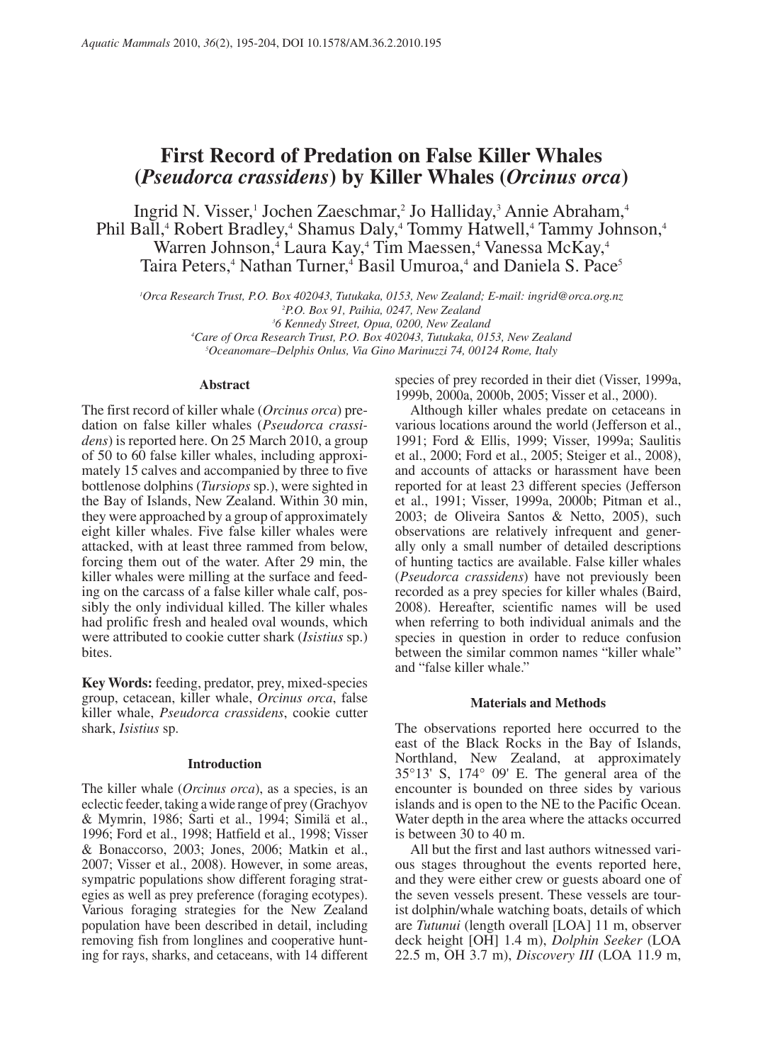# **First Record of Predation on False Killer Whales (***Pseudorca crassidens***) by Killer Whales (***Orcinus orca***)**

Ingrid N. Visser,<sup>1</sup> Jochen Zaeschmar,<sup>2</sup> Jo Halliday,<sup>3</sup> Annie Abraham,<sup>4</sup> Phil Ball,<sup>4</sup> Robert Bradley,<sup>4</sup> Shamus Daly,<sup>4</sup> Tommy Hatwell,<sup>4</sup> Tammy Johnson,<sup>4</sup> Warren Johnson,<sup>4</sup> Laura Kay,<sup>4</sup> Tim Maessen,<sup>4</sup> Vanessa McKay,<sup>4</sup> Taira Peters,<sup>4</sup> Nathan Turner,<sup>4</sup> Basil Umuroa,<sup>4</sup> and Daniela S. Pace<sup>5</sup>

*1 Orca Research Trust, P.O. Box 402043, Tutukaka, 0153, New Zealand; E-mail: ingrid@orca.org.nz 2 P.O. Box 91, Paihia, 0247, New Zealand 3 6 Kennedy Street, Opua, 0200, New Zealand 4 Care of Orca Research Trust, P.O. Box 402043, Tutukaka, 0153, New Zealand 5 Oceanomare–Delphis Onlus, Via Gino Marinuzzi 74, 00124 Rome, Italy*

# **Abstract**

The first record of killer whale (*Orcinus orca*) predation on false killer whales (*Pseudorca crassidens*) is reported here. On 25 March 2010, a group of 50 to 60 false killer whales, including approximately 15 calves and accompanied by three to five bottlenose dolphins (*Tursiops* sp.), were sighted in the Bay of Islands, New Zealand. Within 30 min, they were approached by a group of approximately eight killer whales. Five false killer whales were attacked, with at least three rammed from below, forcing them out of the water. After 29 min, the killer whales were milling at the surface and feeding on the carcass of a false killer whale calf, possibly the only individual killed. The killer whales had prolific fresh and healed oval wounds, which were attributed to cookie cutter shark (*Isistius* sp.) bites.

**Key Words:** feeding, predator, prey, mixed-species group, cetacean, killer whale, *Orcinus orca*, false killer whale, *Pseudorca crassidens*, cookie cutter shark, *Isistius* sp.

# **Introduction**

The killer whale (*Orcinus orca*), as a species, is an eclectic feeder, taking a wide range of prey (Grachyov & Mymrin, 1986; Sarti et al., 1994; Similä et al., 1996; Ford et al., 1998; Hatfield et al., 1998; Visser & Bonaccorso, 2003; Jones, 2006; Matkin et al., 2007; Visser et al., 2008). However, in some areas, sympatric populations show different foraging strategies as well as prey preference (foraging ecotypes). Various foraging strategies for the New Zealand population have been described in detail, including removing fish from longlines and cooperative hunting for rays, sharks, and cetaceans, with 14 different species of prey recorded in their diet (Visser, 1999a, 1999b, 2000a, 2000b, 2005; Visser et al., 2000).

Although killer whales predate on cetaceans in various locations around the world (Jefferson et al., 1991; Ford & Ellis, 1999; Visser, 1999a; Saulitis et al., 2000; Ford et al., 2005; Steiger et al., 2008), and accounts of attacks or harassment have been reported for at least 23 different species (Jefferson et al., 1991; Visser, 1999a, 2000b; Pitman et al., 2003; de Oliveira Santos & Netto, 2005), such observations are relatively infrequent and generally only a small number of detailed descriptions of hunting tactics are available. False killer whales (*Pseudorca crassidens*) have not previously been recorded as a prey species for killer whales (Baird, 2008). Hereafter, scientific names will be used when referring to both individual animals and the species in question in order to reduce confusion between the similar common names "killer whale" and "false killer whale."

# **Materials and Methods**

The observations reported here occurred to the east of the Black Rocks in the Bay of Islands, Northland, New Zealand, at approximately 35°13' S, 174° 09' E. The general area of the encounter is bounded on three sides by various islands and is open to the NE to the Pacific Ocean. Water depth in the area where the attacks occurred is between 30 to 40 m.

All but the first and last authors witnessed various stages throughout the events reported here, and they were either crew or guests aboard one of the seven vessels present. These vessels are tourist dolphin/whale watching boats, details of which are *Tutunui* (length overall [LOA] 11 m, observer deck height [OH] 1.4 m), *Dolphin Seeker* (LOA 22.5 m, OH 3.7 m), *Discovery III* (LOA 11.9 m,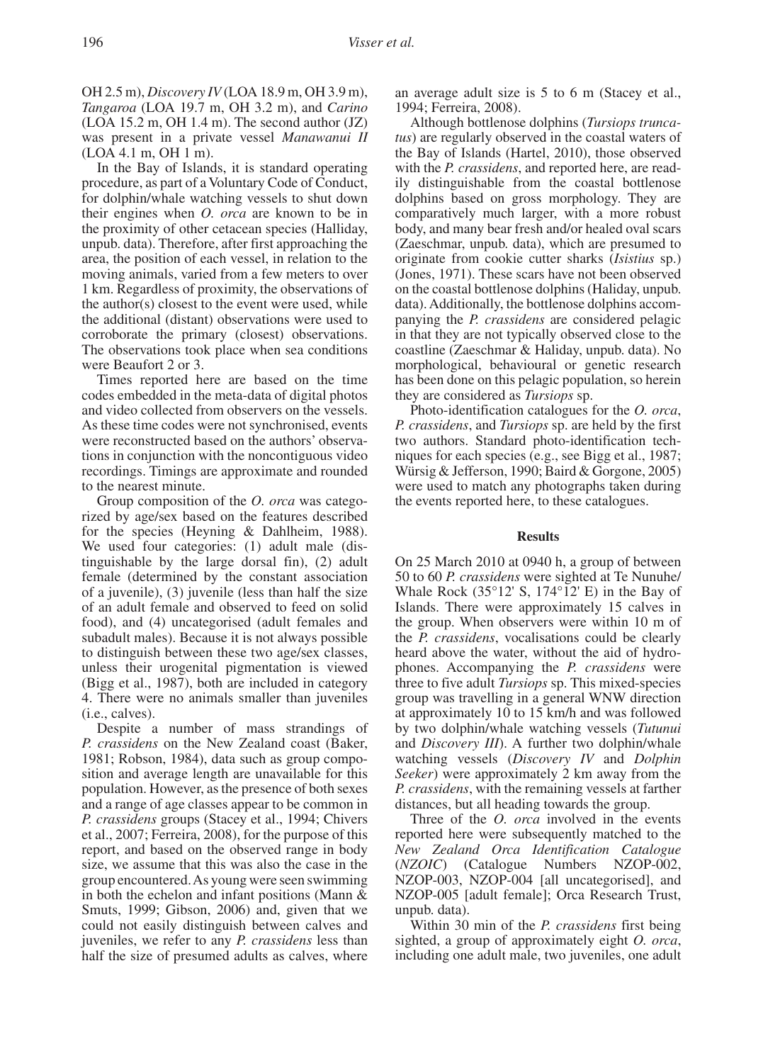OH 2.5 m), *Discovery IV* (LOA 18.9 m, OH 3.9 m), *Tangaroa* (LOA 19.7 m, OH 3.2 m), and *Carino* (LOA 15.2 m, OH 1.4 m). The second author (JZ) was present in a private vessel *Manawanui II* (LOA 4.1 m, OH 1 m).

In the Bay of Islands, it is standard operating procedure, as part of a Voluntary Code of Conduct, for dolphin/whale watching vessels to shut down their engines when *O. orca* are known to be in the proximity of other cetacean species (Halliday, unpub. data). Therefore, after first approaching the area, the position of each vessel, in relation to the moving animals, varied from a few meters to over 1 km. Regardless of proximity, the observations of the author(s) closest to the event were used, while the additional (distant) observations were used to corroborate the primary (closest) observations. The observations took place when sea conditions were Beaufort 2 or 3.

Times reported here are based on the time codes embedded in the meta-data of digital photos and video collected from observers on the vessels. As these time codes were not synchronised, events were reconstructed based on the authors' observations in conjunction with the noncontiguous video recordings. Timings are approximate and rounded to the nearest minute.

Group composition of the *O. orca* was categorized by age/sex based on the features described for the species (Heyning & Dahlheim, 1988). We used four categories: (1) adult male (distinguishable by the large dorsal fin), (2) adult female (determined by the constant association of a juvenile), (3) juvenile (less than half the size of an adult female and observed to feed on solid food), and (4) uncategorised (adult females and subadult males). Because it is not always possible to distinguish between these two age/sex classes, unless their urogenital pigmentation is viewed (Bigg et al., 1987), both are included in category 4. There were no animals smaller than juveniles (i.e., calves).

Despite a number of mass strandings of *P. crassidens* on the New Zealand coast (Baker, 1981; Robson, 1984), data such as group composition and average length are unavailable for this population. However, as the presence of both sexes and a range of age classes appear to be common in *P. crassidens* groups (Stacey et al., 1994; Chivers et al., 2007; Ferreira, 2008), for the purpose of this report, and based on the observed range in body size, we assume that this was also the case in the group encountered. As young were seen swimming in both the echelon and infant positions (Mann & Smuts, 1999; Gibson, 2006) and, given that we could not easily distinguish between calves and juveniles, we refer to any *P. crassidens* less than half the size of presumed adults as calves, where an average adult size is 5 to 6 m (Stacey et al., 1994; Ferreira, 2008).

Although bottlenose dolphins (*Tursiops truncatus*) are regularly observed in the coastal waters of the Bay of Islands (Hartel, 2010), those observed with the *P. crassidens*, and reported here, are readily distinguishable from the coastal bottlenose dolphins based on gross morphology. They are comparatively much larger, with a more robust body, and many bear fresh and/or healed oval scars (Zaeschmar, unpub. data), which are presumed to originate from cookie cutter sharks (*Isistius* sp.) (Jones, 1971). These scars have not been observed on the coastal bottlenose dolphins (Haliday, unpub. data). Additionally, the bottlenose dolphins accompanying the *P. crassidens* are considered pelagic in that they are not typically observed close to the coastline (Zaeschmar & Haliday, unpub. data). No morphological, behavioural or genetic research has been done on this pelagic population, so herein they are considered as *Tursiops* sp.

Photo-identification catalogues for the *O. orca*, *P. crassidens*, and *Tursiops* sp. are held by the first two authors. Standard photo-identification techniques for each species (e.g., see Bigg et al., 1987; Würsig & Jefferson, 1990; Baird & Gorgone, 2005) were used to match any photographs taken during the events reported here, to these catalogues.

#### **Results**

On 25 March 2010 at 0940 h, a group of between 50 to 60 *P. crassidens* were sighted at Te Nunuhe/ Whale Rock  $(35^{\circ}12' S, 174^{\circ}12' E)$  in the Bay of Islands. There were approximately 15 calves in the group. When observers were within 10 m of the *P. crassidens*, vocalisations could be clearly heard above the water, without the aid of hydrophones. Accompanying the *P. crassidens* were three to five adult *Tursiops* sp. This mixed-species group was travelling in a general WNW direction at approximately 10 to 15 km/h and was followed by two dolphin/whale watching vessels (*Tutunui* and *Discovery III*). A further two dolphin/whale watching vessels (*Discovery IV* and *Dolphin Seeker*) were approximately 2 km away from the *P. crassidens*, with the remaining vessels at farther distances, but all heading towards the group.

Three of the *O. orca* involved in the events reported here were subsequently matched to the *New Zealand Orca Identification Catalogue*  (*NZOIC*) (Catalogue Numbers NZOP-002, NZOP-003, NZOP-004 [all uncategorised], and NZOP-005 [adult female]; Orca Research Trust, unpub. data).

Within 30 min of the *P. crassidens* first being sighted, a group of approximately eight *O. orca*, including one adult male, two juveniles, one adult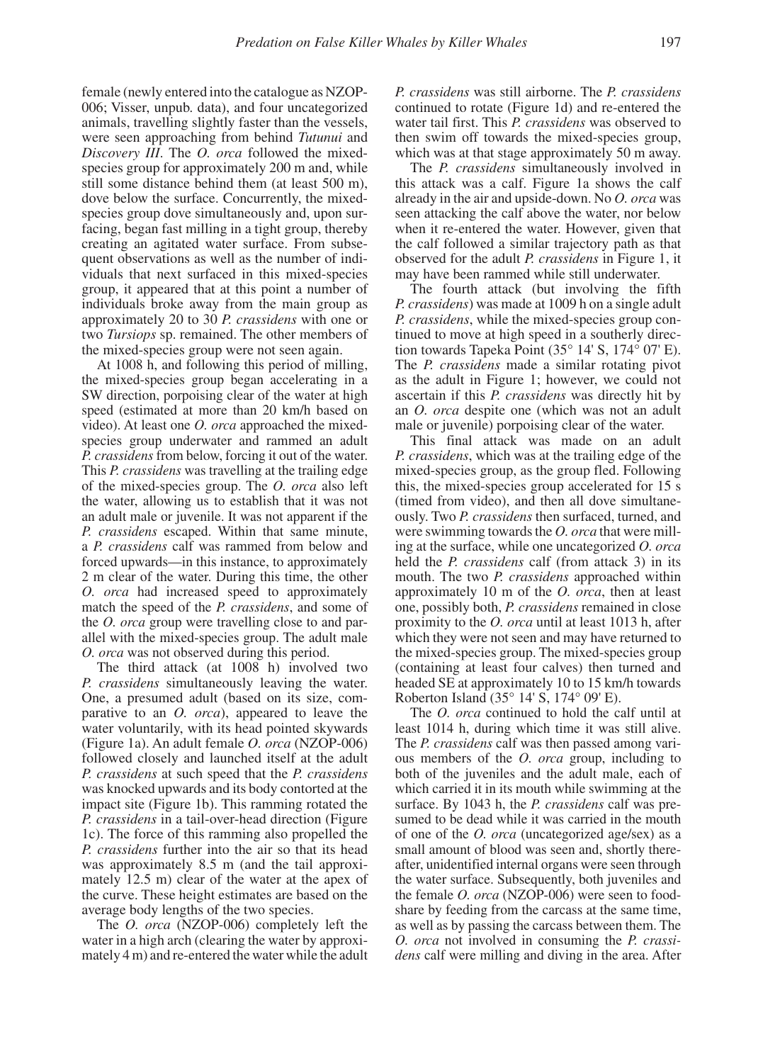female (newly entered into the catalogue as NZOP-006; Visser, unpub. data), and four uncategorized animals, travelling slightly faster than the vessels, were seen approaching from behind *Tutunui* and *Discovery III*. The *O. orca* followed the mixedspecies group for approximately 200 m and, while still some distance behind them (at least 500 m), dove below the surface. Concurrently, the mixedspecies group dove simultaneously and, upon surfacing, began fast milling in a tight group, thereby creating an agitated water surface. From subsequent observations as well as the number of individuals that next surfaced in this mixed-species group, it appeared that at this point a number of individuals broke away from the main group as approximately 20 to 30 *P. crassidens* with one or two *Tursiops* sp. remained. The other members of the mixed-species group were not seen again.

At 1008 h, and following this period of milling, the mixed-species group began accelerating in a SW direction, porpoising clear of the water at high speed (estimated at more than 20 km/h based on video). At least one *O. orca* approached the mixedspecies group underwater and rammed an adult *P. crassidens* from below, forcing it out of the water. This *P. crassidens* was travelling at the trailing edge of the mixed-species group. The *O. orca* also left the water, allowing us to establish that it was not an adult male or juvenile. It was not apparent if the *P. crassidens* escaped. Within that same minute, a *P. crassidens* calf was rammed from below and forced upwards—in this instance, to approximately 2 m clear of the water. During this time, the other *O. orca* had increased speed to approximately match the speed of the *P. crassidens*, and some of the *O. orca* group were travelling close to and parallel with the mixed-species group. The adult male *O. orca* was not observed during this period.

The third attack (at 1008 h) involved two *P. crassidens* simultaneously leaving the water. One, a presumed adult (based on its size, comparative to an *O. orca*), appeared to leave the water voluntarily, with its head pointed skywards (Figure 1a). An adult female *O. orca* (NZOP-006) followed closely and launched itself at the adult *P. crassidens* at such speed that the *P. crassidens*  was knocked upwards and its body contorted at the impact site (Figure 1b). This ramming rotated the *P. crassidens* in a tail-over-head direction (Figure 1c). The force of this ramming also propelled the *P. crassidens* further into the air so that its head was approximately 8.5 m (and the tail approximately 12.5 m) clear of the water at the apex of the curve. These height estimates are based on the average body lengths of the two species.

The *O. orca* (NZOP-006) completely left the water in a high arch (clearing the water by approximately 4 m) and re-entered the water while the adult

*P. crassidens* was still airborne. The *P. crassidens* continued to rotate (Figure 1d) and re-entered the water tail first. This *P. crassidens* was observed to then swim off towards the mixed-species group, which was at that stage approximately 50 m away.

The *P. crassidens* simultaneously involved in this attack was a calf. Figure 1a shows the calf already in the air and upside-down. No *O. orca* was seen attacking the calf above the water, nor below when it re-entered the water. However, given that the calf followed a similar trajectory path as that observed for the adult *P. crassidens* in Figure 1, it may have been rammed while still underwater.

The fourth attack (but involving the fifth *P. crassidens*) was made at 1009 h on a single adult *P. crassidens*, while the mixed-species group continued to move at high speed in a southerly direction towards Tapeka Point (35° 14' S, 174° 07' E). The *P. crassidens* made a similar rotating pivot as the adult in Figure 1; however, we could not ascertain if this *P. crassidens* was directly hit by an *O. orca* despite one (which was not an adult male or juvenile) porpoising clear of the water.

This final attack was made on an adult *P. crassidens*, which was at the trailing edge of the mixed-species group, as the group fled. Following this, the mixed-species group accelerated for 15 s (timed from video), and then all dove simultaneously. Two *P. crassidens* then surfaced, turned, and were swimming towards the *O. orca* that were milling at the surface, while one uncategorized *O. orca*  held the *P. crassidens* calf (from attack 3) in its mouth. The two *P. crassidens* approached within approximately 10 m of the *O. orca*, then at least one, possibly both, *P. crassidens* remained in close proximity to the *O. orca* until at least 1013 h, after which they were not seen and may have returned to the mixed-species group. The mixed-species group (containing at least four calves) then turned and headed SE at approximately 10 to 15 km/h towards Roberton Island (35° 14' S, 174° 09' E).

The *O. orca* continued to hold the calf until at least 1014 h, during which time it was still alive. The *P. crassidens* calf was then passed among various members of the *O. orca* group, including to both of the juveniles and the adult male, each of which carried it in its mouth while swimming at the surface. By 1043 h, the *P. crassidens* calf was presumed to be dead while it was carried in the mouth of one of the *O. orca* (uncategorized age/sex) as a small amount of blood was seen and, shortly thereafter, unidentified internal organs were seen through the water surface. Subsequently, both juveniles and the female *O. orca* (NZOP-006) were seen to foodshare by feeding from the carcass at the same time, as well as by passing the carcass between them. The *O. orca* not involved in consuming the *P. crassidens* calf were milling and diving in the area. After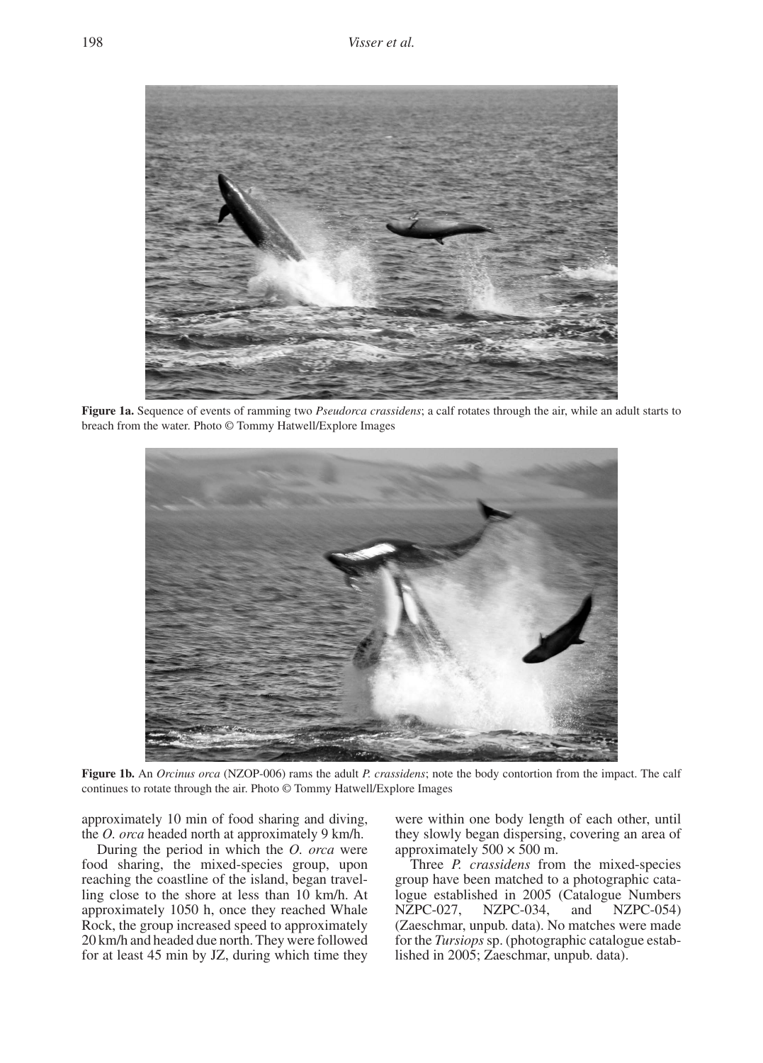

**Figure 1a.** Sequence of events of ramming two *Pseudorca crassidens*; a calf rotates infough the air, wheach from the water. Photo © Tommy Hatwell/Explore Images **Figure 1a.** Sequence of events of ramming two *Pseudorca crassidens*; a calf rotates through the air, while an adult starts to



22 **Figure 1b.** An *Orcinus orca* (NZOP-006) rams the adult *P. crassidens*; note the body contortion from the impact. The calf continues to rotate through the air. Photo © Tommy Hatwell/Explore Images

approximately 10 min of food sharing and diving, were within one body length of each the *O. orca* headed north at approximately 9 km/h.

During the period in which the *O. orca* were food sharing, the mixed-species group, upon reaching the coastline of the island, began travelling close to the shore at less than 10 km/h. At approximately 1050 h, once they reached Whale Rock, the group increased speed to approximately 20 km/h and headed due north. They were followed for at least 45 min by JZ, during which time they

were within one body length of each other, until they slowly began dispersing, covering an area of approximately  $500 \times 500$  m.

Three *P. crassidens* from the mixed-species group have been matched to a photographic catalogue established in 2005 (Catalogue Numbers<br>NZPC-027. NZPC-034. and NZPC-054) NZPC-027, NZPC-034, and (Zaeschmar, unpub. data). No matches were made for the *Tursiops* sp. (photographic catalogue established in 2005; Zaeschmar, unpub. data).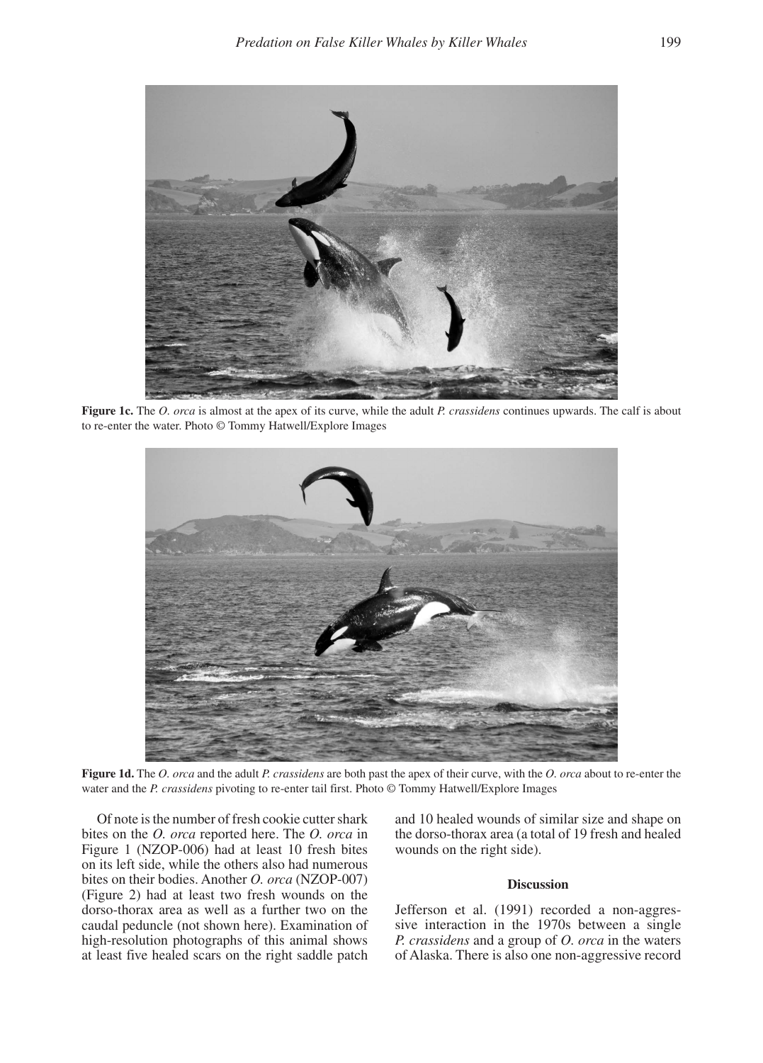

to re-enter the water. Photo © Tommy Hatwell/Explore Images **Figure 1c.** The *O. orca* is almost at the apex of its curve, while the adult *P. crassidens* continues upwards. The calf is about



water and the *P. crassidens* pivoting to re-enter tail first. Photo © Tommy Hatwell/Explore Images **Figure 1d.** The *O. orca* and the adult *P. crassidens* are both past the apex of their curve, with the *O. orca* about to re-enter the

Of note is the number of fresh cookie cutter shark bites on the *O. orca* reported here. The *O. orca* in Figure 1 (NZOP-006) had at least 10 fresh bites wounds on t on its left side, while the others also had numerous bites on their bodies. Another *O. orca* (NZOP-007) (Figure 2) had at least two fresh wounds on the dorso-thorax area as well as a further two on the caudal peduncle (not shown here). Examination of high-resolution photographs of this animal shows at least five healed scars on the right saddle patch

is the number of fresh cookie cutter shark and 10 healed wounds of similar size and shape on **C.**  $\alpha$ the dorso-thorax area (a total of 19 fresh and healed wounds on the right side).

# **Discussion**

Jefferson et al. (1991) recorded a non-aggressive interaction in the 1970s between a single *P. crassidens* and a group of *O. orca* in the waters of Alaska. There is also one non-aggressive record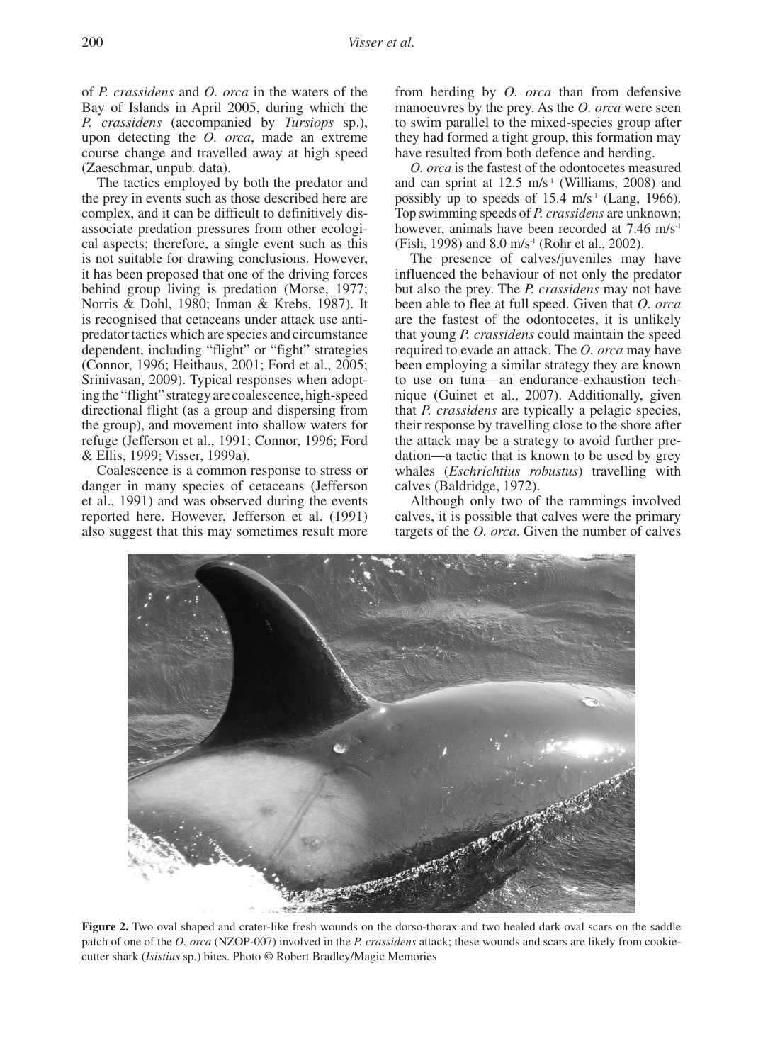of *P. crassidens* and *O. orca* in the waters of the Bay of Islands in April 2005, during which the *P. crassidens* (accompanied by *Tursiops* sp.), upon detecting the *O. orca*, made an extreme course change and travelled away at high speed (Zaeschmar, unpub. data).

The tactics employed by both the predator and the prey in events such as those described here are complex, and it can be difficult to definitively disassociate predation pressures from other ecological aspects; therefore, a single event such as this is not suitable for drawing conclusions. However, it has been proposed that one of the driving forces behind group living is predation (Morse, 1977; Norris & Dohl, 1980; Inman & Krebs, 1987). It is recognised that cetaceans under attack use antipredator tactics which are species and circumstance dependent, including "flight" or "fight" strategies (Connor, 1996; Heithaus, 2001; Ford et al., 2005; Srinivasan, 2009). Typical responses when adopting the "flight" strategy are coalescence, high-speed directional flight (as a group and dispersing from the group), and movement into shallow waters for refuge (Jefferson et al., 1991; Connor, 1996; Ford & Ellis, 1999; Visser, 1999a).

Coalescence is a common response to stress or danger in many species of cetaceans (Jefferson calves (Baldridge, 1) et al., 1991) and was observed during the events reported here. However, Jefferson et al. (1991) also suggest that this may sometimes result more

from herding by *O. orca* than from defensive manoeuvres by the prey. As the *O. orca* were seen to swim parallel to the mixed-species group after they had formed a tight group, this formation may have resulted from both defence and herding.

*O. orca* is the fastest of the odontocetes measured and can sprint at  $12.5 \text{ m/s}^1$  (Williams, 2008) and possibly up to speeds of  $15.4 \text{ m/s}$ <sup>1</sup> (Lang, 1966). Top swimming speeds of *P. crassidens* are unknown; however, animals have been recorded at 7.46 m/s<sup>-1</sup> (Fish, 1998) and 8.0 m/s-1 (Rohr et al., 2002).

The presence of calves/juveniles may have influenced the behaviour of not only the predator but also the prey. The *P. crassidens* may not have been able to flee at full speed. Given that *O. orca*  are the fastest of the odontocetes, it is unlikely that young *P. crassidens* could maintain the speed required to evade an attack. The *O. orca* may have been employing a similar strategy they are known to use on tuna—an endurance-exhaustion technique (Guinet et al., 2007). Additionally, given that *P. crassidens* are typically a pelagic species, their response by travelling close to the shore after the attack may be a strategy to avoid further predation—a tactic that is known to be used by grey whales (*Eschrichtius robustus*) travelling with calves (Baldridge, 1972).

Although only two of the rammings involved calves, it is possible that calves were the primary targets of the *O. orca*. Given the number of calves



cutter shark (*Isistius* sp.) bites. Photo © Robert Bradley/Magic Memories Figure 2. Two oval shaped and crater-like fresh wounds on the dorso-thorax and two healed dark oval scars on the saddle patch of one of the *O. orca* (NZOP-007) involved in the *P. crassidens* attack; these wounds and scars are likely from cookie-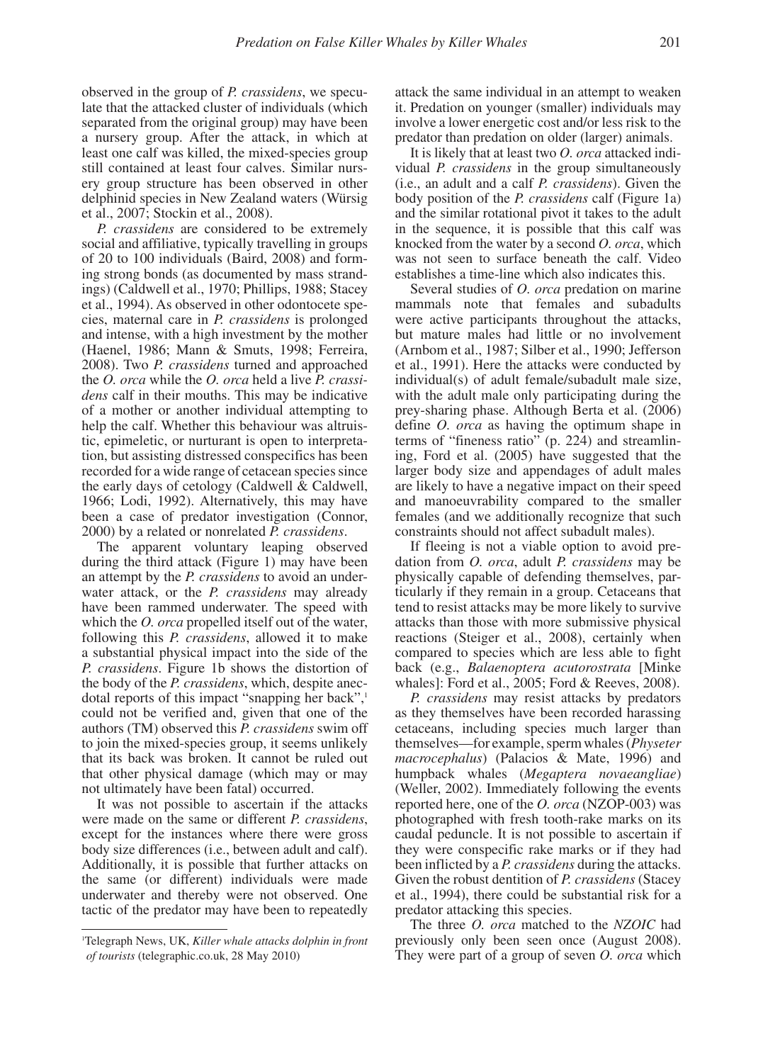observed in the group of *P. crassidens*, we speculate that the attacked cluster of individuals (which separated from the original group) may have been a nursery group. After the attack, in which at least one calf was killed, the mixed-species group still contained at least four calves. Similar nursery group structure has been observed in other delphinid species in New Zealand waters (Würsig et al., 2007; Stockin et al., 2008).

*P. crassidens* are considered to be extremely social and affiliative, typically travelling in groups of 20 to 100 individuals (Baird, 2008) and forming strong bonds (as documented by mass strandings) (Caldwell et al., 1970; Phillips, 1988; Stacey et al., 1994). As observed in other odontocete species, maternal care in *P. crassidens* is prolonged and intense, with a high investment by the mother (Haenel, 1986; Mann & Smuts, 1998; Ferreira, 2008). Two *P. crassidens* turned and approached the *O. orca* while the *O. orca* held a live *P. crassidens* calf in their mouths. This may be indicative of a mother or another individual attempting to help the calf. Whether this behaviour was altruistic, epimeletic, or nurturant is open to interpretation, but assisting distressed conspecifics has been recorded for a wide range of cetacean species since the early days of cetology (Caldwell & Caldwell, 1966; Lodi, 1992). Alternatively, this may have been a case of predator investigation (Connor, 2000) by a related or nonrelated *P. crassidens*.

The apparent voluntary leaping observed during the third attack (Figure 1) may have been an attempt by the *P. crassidens* to avoid an underwater attack, or the *P. crassidens* may already have been rammed underwater. The speed with which the *O. orca* propelled itself out of the water, following this *P. crassidens*, allowed it to make a substantial physical impact into the side of the *P. crassidens*. Figure 1b shows the distortion of the body of the *P. crassidens*, which, despite anecdotal reports of this impact "snapping her back",<sup>1</sup> could not be verified and, given that one of the authors (TM) observed this *P. crassidens* swim off to join the mixed-species group, it seems unlikely that its back was broken. It cannot be ruled out that other physical damage (which may or may not ultimately have been fatal) occurred.

It was not possible to ascertain if the attacks were made on the same or different *P. crassidens*, except for the instances where there were gross body size differences (i.e., between adult and calf). Additionally, it is possible that further attacks on the same (or different) individuals were made underwater and thereby were not observed. One tactic of the predator may have been to repeatedly attack the same individual in an attempt to weaken it. Predation on younger (smaller) individuals may involve a lower energetic cost and/or less risk to the predator than predation on older (larger) animals.

It is likely that at least two *O. orca* attacked individual *P. crassidens* in the group simultaneously (i.e., an adult and a calf *P. crassidens*). Given the body position of the *P. crassidens* calf (Figure 1a) and the similar rotational pivot it takes to the adult in the sequence, it is possible that this calf was knocked from the water by a second *O. orca*, which was not seen to surface beneath the calf. Video establishes a time-line which also indicates this.

Several studies of *O. orca* predation on marine mammals note that females and subadults were active participants throughout the attacks, but mature males had little or no involvement (Arnbom et al., 1987; Silber et al., 1990; Jefferson et al., 1991). Here the attacks were conducted by individual(s) of adult female/subadult male size, with the adult male only participating during the prey-sharing phase. Although Berta et al. (2006) define *O. orca* as having the optimum shape in terms of "fineness ratio" (p. 224) and streamlining, Ford et al. (2005) have suggested that the larger body size and appendages of adult males are likely to have a negative impact on their speed and manoeuvrability compared to the smaller females (and we additionally recognize that such constraints should not affect subadult males).

If fleeing is not a viable option to avoid predation from *O. orca*, adult *P. crassidens* may be physically capable of defending themselves, particularly if they remain in a group. Cetaceans that tend to resist attacks may be more likely to survive attacks than those with more submissive physical reactions (Steiger et al., 2008), certainly when compared to species which are less able to fight back (e.g., *Balaenoptera acutorostrata* [Minke whales]: Ford et al., 2005; Ford & Reeves, 2008).

*P. crassidens* may resist attacks by predators as they themselves have been recorded harassing cetaceans, including species much larger than themselves—for example, sperm whales (*Physeter macrocephalus*) (Palacios & Mate, 1996) and humpback whales (*Megaptera novaeangliae*) (Weller, 2002). Immediately following the events reported here, one of the *O. orca* (NZOP-003) was photographed with fresh tooth-rake marks on its caudal peduncle. It is not possible to ascertain if they were conspecific rake marks or if they had been inflicted by a *P. crassidens* during the attacks. Given the robust dentition of *P. crassidens* (Stacey et al., 1994), there could be substantial risk for a predator attacking this species.

The three *O. orca* matched to the *NZOIC* had previously only been seen once (August 2008). They were part of a group of seven *O. orca* which

<sup>1</sup> Telegraph News, UK, *Killer whale attacks dolphin in front of tourists* (telegraphic.co.uk, 28 May 2010)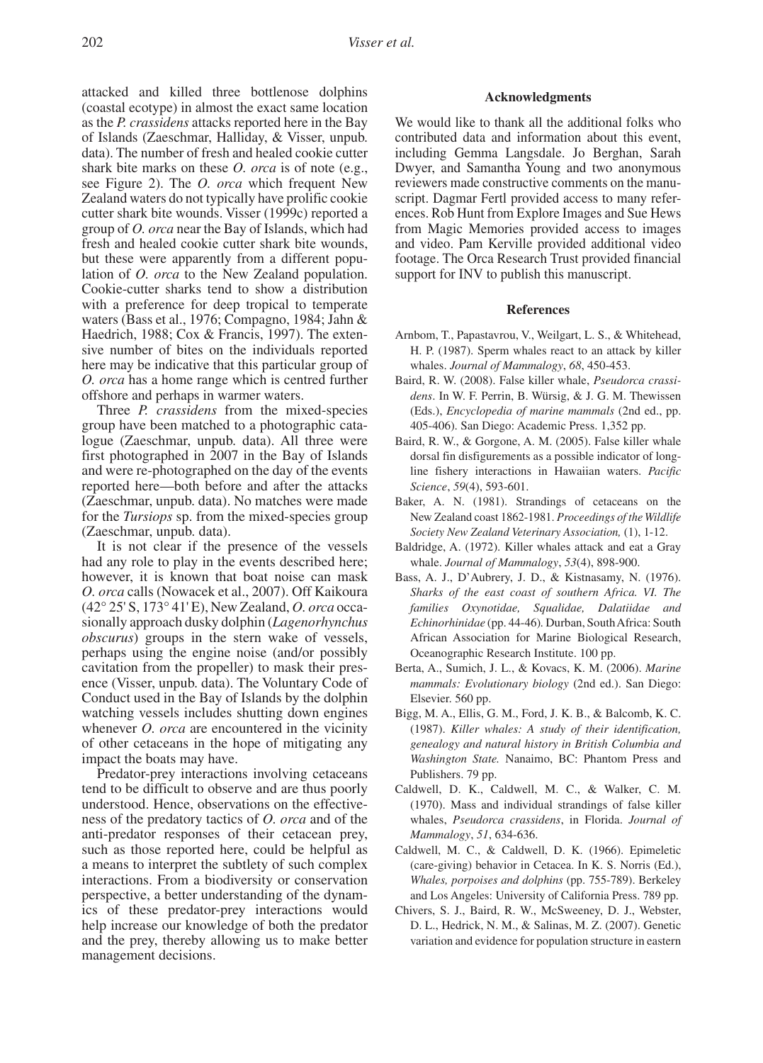attacked and killed three bottlenose dolphins (coastal ecotype) in almost the exact same location as the *P. crassidens* attacks reported here in the Bay of Islands (Zaeschmar, Halliday, & Visser, unpub. data). The number of fresh and healed cookie cutter shark bite marks on these *O. orca* is of note (e.g., see Figure 2). The *O. orca* which frequent New Zealand waters do not typically have prolific cookie cutter shark bite wounds. Visser (1999c) reported a group of *O. orca* near the Bay of Islands, which had fresh and healed cookie cutter shark bite wounds, but these were apparently from a different population of *O. orca* to the New Zealand population. Cookie-cutter sharks tend to show a distribution with a preference for deep tropical to temperate waters (Bass et al., 1976; Compagno, 1984; Jahn & Haedrich, 1988; Cox & Francis, 1997). The extensive number of bites on the individuals reported here may be indicative that this particular group of *O. orca* has a home range which is centred further offshore and perhaps in warmer waters.

Three *P. crassidens* from the mixed-species group have been matched to a photographic catalogue (Zaeschmar, unpub. data). All three were first photographed in 2007 in the Bay of Islands and were re-photographed on the day of the events reported here—both before and after the attacks (Zaeschmar, unpub. data). No matches were made for the *Tursiops* sp. from the mixed-species group (Zaeschmar, unpub. data).

It is not clear if the presence of the vessels had any role to play in the events described here; however, it is known that boat noise can mask *O. orca* calls (Nowacek et al., 2007). Off Kaikoura (42° 25' S, 173° 41' E), New Zealand, *O. orca* occasionally approach dusky dolphin (*Lagenorhynchus obscurus*) groups in the stern wake of vessels, perhaps using the engine noise (and/or possibly cavitation from the propeller) to mask their presence (Visser, unpub. data). The Voluntary Code of Conduct used in the Bay of Islands by the dolphin watching vessels includes shutting down engines whenever *O. orca* are encountered in the vicinity of other cetaceans in the hope of mitigating any impact the boats may have.

Predator-prey interactions involving cetaceans tend to be difficult to observe and are thus poorly understood. Hence, observations on the effectiveness of the predatory tactics of *O. orca* and of the anti-predator responses of their cetacean prey, such as those reported here, could be helpful as a means to interpret the subtlety of such complex interactions. From a biodiversity or conservation perspective, a better understanding of the dynamics of these predator-prey interactions would help increase our knowledge of both the predator and the prey, thereby allowing us to make better management decisions.

# **Acknowledgments**

We would like to thank all the additional folks who contributed data and information about this event, including Gemma Langsdale. Jo Berghan, Sarah Dwyer, and Samantha Young and two anonymous reviewers made constructive comments on the manuscript. Dagmar Fertl provided access to many references. Rob Hunt from Explore Images and Sue Hews from Magic Memories provided access to images and video. Pam Kerville provided additional video footage. The Orca Research Trust provided financial support for INV to publish this manuscript.

#### **References**

- Arnbom, T., Papastavrou, V., Weilgart, L. S., & Whitehead, H. P. (1987). Sperm whales react to an attack by killer whales. *Journal of Mammalogy*, *68*, 450-453.
- Baird, R. W. (2008). False killer whale, *Pseudorca crassidens*. In W. F. Perrin, B. Würsig, & J. G. M. Thewissen (Eds.), *Encyclopedia of marine mammals* (2nd ed., pp. 405-406). San Diego: Academic Press. 1,352 pp.
- Baird, R. W., & Gorgone, A. M. (2005). False killer whale dorsal fin disfigurements as a possible indicator of longline fishery interactions in Hawaiian waters. *Pacific Science*, *59*(4), 593-601.
- Baker, A. N. (1981). Strandings of cetaceans on the New Zealand coast 1862-1981. *Proceedings of the Wildlife Society New Zealand Veterinary Association,* (1), 1-12.
- Baldridge, A. (1972). Killer whales attack and eat a Gray whale. *Journal of Mammalogy*, *53*(4), 898-900.
- Bass, A. J., D'Aubrery, J. D., & Kistnasamy, N. (1976). *Sharks of the east coast of southern Africa. VI. The families Oxynotidae, Squalidae, Dalatiidae and Echinorhinidae* (pp. 44-46)*.* Durban, South Africa: South African Association for Marine Biological Research, Oceanographic Research Institute. 100 pp.
- Berta, A., Sumich, J. L., & Kovacs, K. M. (2006). *Marine mammals: Evolutionary biology* (2nd ed.). San Diego: Elsevier. 560 pp.
- Bigg, M. A., Ellis, G. M., Ford, J. K. B., & Balcomb, K. C. (1987). *Killer whales: A study of their identification, genealogy and natural history in British Columbia and Washington State.* Nanaimo, BC: Phantom Press and Publishers. 79 pp.
- Caldwell, D. K., Caldwell, M. C., & Walker, C. M. (1970). Mass and individual strandings of false killer whales, *Pseudorca crassidens*, in Florida. *Journal of Mammalogy*, *51*, 634-636.
- Caldwell, M. C., & Caldwell, D. K. (1966). Epimeletic (care-giving) behavior in Cetacea. In K. S. Norris (Ed.), *Whales, porpoises and dolphins* (pp. 755-789). Berkeley and Los Angeles: University of California Press. 789 pp.
- Chivers, S. J., Baird, R. W., McSweeney, D. J., Webster, D. L., Hedrick, N. M., & Salinas, M. Z. (2007). Genetic variation and evidence for population structure in eastern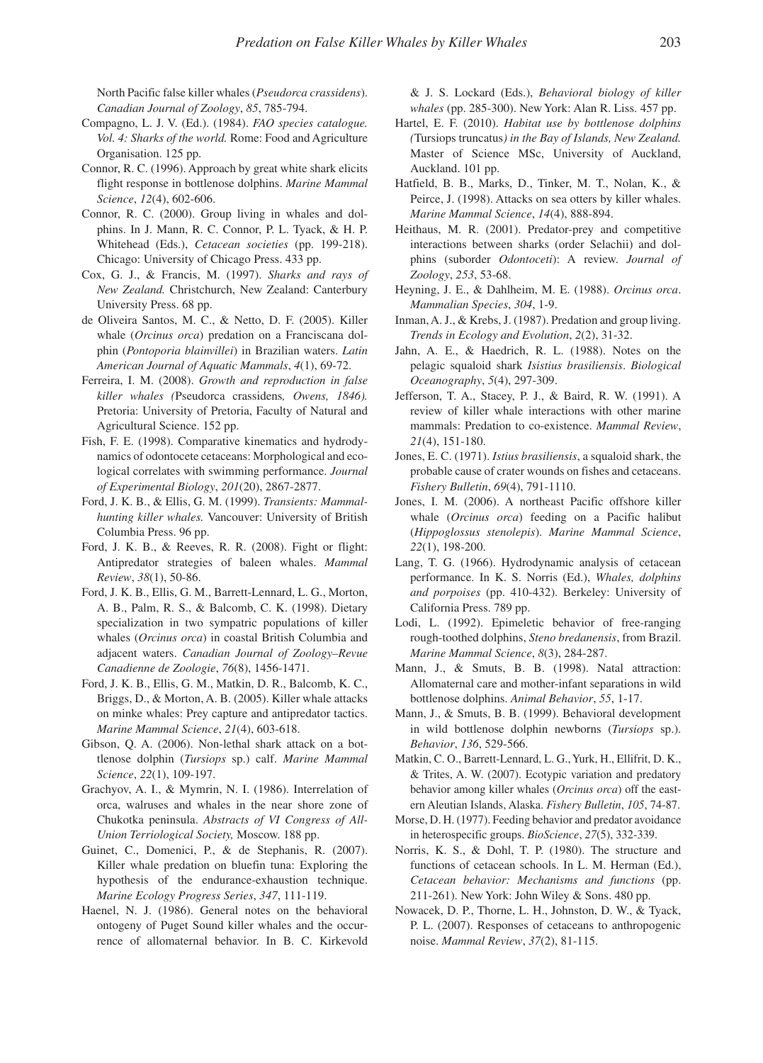North Pacific false killer whales (*Pseudorca crassidens*). *Canadian Journal of Zoology*, *85*, 785-794.

- Compagno, L. J. V. (Ed.). (1984). *FAO species catalogue. Vol. 4: Sharks of the world.* Rome: Food and Agriculture Organisation. 125 pp.
- Connor, R. C. (1996). Approach by great white shark elicits flight response in bottlenose dolphins. *Marine Mammal Science*, *12*(4), 602-606.
- Connor, R. C. (2000). Group living in whales and dolphins. In J. Mann, R. C. Connor, P. L. Tyack, & H. P. Whitehead (Eds.), *Cetacean societies* (pp. 199-218). Chicago: University of Chicago Press. 433 pp.
- Cox, G. J., & Francis, M. (1997). *Sharks and rays of New Zealand.* Christchurch, New Zealand: Canterbury University Press. 68 pp.
- de Oliveira Santos, M. C., & Netto, D. F. (2005). Killer whale (*Orcinus orca*) predation on a Franciscana dolphin (*Pontoporia blainvillei*) in Brazilian waters. *Latin American Journal of Aquatic Mammals*, *4*(1), 69-72.
- Ferreira, I. M. (2008). *Growth and reproduction in false killer whales (*Pseudorca crassidens*, Owens, 1846).*  Pretoria: University of Pretoria, Faculty of Natural and Agricultural Science. 152 pp.
- Fish, F. E. (1998). Comparative kinematics and hydrodynamics of odontocete cetaceans: Morphological and ecological correlates with swimming performance. *Journal of Experimental Biology*, *201*(20), 2867-2877.
- Ford, J. K. B., & Ellis, G. M. (1999). *Transients: Mammalhunting killer whales.* Vancouver: University of British Columbia Press. 96 pp.
- Ford, J. K. B., & Reeves, R. R. (2008). Fight or flight: Antipredator strategies of baleen whales. *Mammal Review*, *38*(1), 50-86.
- Ford, J. K. B., Ellis, G. M., Barrett-Lennard, L. G., Morton, A. B., Palm, R. S., & Balcomb, C. K. (1998). Dietary specialization in two sympatric populations of killer whales (*Orcinus orca*) in coastal British Columbia and adjacent waters. *Canadian Journal of Zoology–Revue Canadienne de Zoologie*, *76*(8), 1456-1471.
- Ford, J. K. B., Ellis, G. M., Matkin, D. R., Balcomb, K. C., Briggs, D., & Morton, A. B. (2005). Killer whale attacks on minke whales: Prey capture and antipredator tactics. *Marine Mammal Science*, *21*(4), 603-618.
- Gibson, Q. A. (2006). Non-lethal shark attack on a bottlenose dolphin (*Tursiops* sp.) calf. *Marine Mammal Science*, *22*(1), 109-197.
- Grachyov, A. I., & Mymrin, N. I. (1986). Interrelation of orca, walruses and whales in the near shore zone of Chukotka peninsula. *Abstracts of VI Congress of All-Union Terriological Society,* Moscow. 188 pp.
- Guinet, C., Domenici, P., & de Stephanis, R. (2007). Killer whale predation on bluefin tuna: Exploring the hypothesis of the endurance-exhaustion technique. *Marine Ecology Progress Series*, *347*, 111-119.
- Haenel, N. J. (1986). General notes on the behavioral ontogeny of Puget Sound killer whales and the occurrence of allomaternal behavior. In B. C. Kirkevold

& J. S. Lockard (Eds.), *Behavioral biology of killer whales* (pp. 285-300). New York: Alan R. Liss. 457 pp.

- Hartel, E. F. (2010). *Habitat use by bottlenose dolphins (*Tursiops truncatus*) in the Bay of Islands, New Zealand.*  Master of Science MSc, University of Auckland, Auckland. 101 pp.
- Hatfield, B. B., Marks, D., Tinker, M. T., Nolan, K., & Peirce, J. (1998). Attacks on sea otters by killer whales. *Marine Mammal Science*, *14*(4), 888-894.
- Heithaus, M. R. (2001). Predator-prey and competitive interactions between sharks (order Selachii) and dolphins (suborder *Odontoceti*): A review. *Journal of Zoology*, *253*, 53-68.
- Heyning, J. E., & Dahlheim, M. E. (1988). *Orcinus orca*. *Mammalian Species*, *304*, 1-9.
- Inman, A. J., & Krebs, J. (1987). Predation and group living. *Trends in Ecology and Evolution*, *2*(2), 31-32.
- Jahn, A. E., & Haedrich, R. L. (1988). Notes on the pelagic squaloid shark *Isistius brasiliensis*. *Biological Oceanography*, *5*(4), 297-309.
- Jefferson, T. A., Stacey, P. J., & Baird, R. W. (1991). A review of killer whale interactions with other marine mammals: Predation to co-existence. *Mammal Review*, *21*(4), 151-180.
- Jones, E. C. (1971). *Istius brasiliensis*, a squaloid shark, the probable cause of crater wounds on fishes and cetaceans. *Fishery Bulletin*, *69*(4), 791-1110.
- Jones, I. M. (2006). A northeast Pacific offshore killer whale (*Orcinus orca*) feeding on a Pacific halibut (*Hippoglossus stenolepis*). *Marine Mammal Science*, *22*(1), 198-200.
- Lang, T. G. (1966). Hydrodynamic analysis of cetacean performance. In K. S. Norris (Ed.), *Whales, dolphins and porpoises* (pp. 410-432). Berkeley: University of California Press. 789 pp.
- Lodi, L. (1992). Epimeletic behavior of free-ranging rough-toothed dolphins, *Steno bredanensis*, from Brazil. *Marine Mammal Science*, *8*(3), 284-287.
- Mann, J., & Smuts, B. B. (1998). Natal attraction: Allomaternal care and mother-infant separations in wild bottlenose dolphins. *Animal Behavior*, *55*, 1-17.
- Mann, J., & Smuts, B. B. (1999). Behavioral development in wild bottlenose dolphin newborns (*Tursiops* sp.). *Behavior*, *136*, 529-566.
- Matkin, C. O., Barrett-Lennard, L. G., Yurk, H., Ellifrit, D. K., & Trites, A. W. (2007). Ecotypic variation and predatory behavior among killer whales (*Orcinus orca*) off the eastern Aleutian Islands, Alaska. *Fishery Bulletin*, *105*, 74-87.
- Morse, D. H. (1977). Feeding behavior and predator avoidance in heterospecific groups. *BioScience*, *27*(5), 332-339.
- Norris, K. S., & Dohl, T. P. (1980). The structure and functions of cetacean schools. In L. M. Herman (Ed.), *Cetacean behavior: Mechanisms and functions* (pp. 211-261). New York: John Wiley & Sons. 480 pp.
- Nowacek, D. P., Thorne, L. H., Johnston, D. W., & Tyack, P. L. (2007). Responses of cetaceans to anthropogenic noise. *Mammal Review*, *37*(2), 81-115.